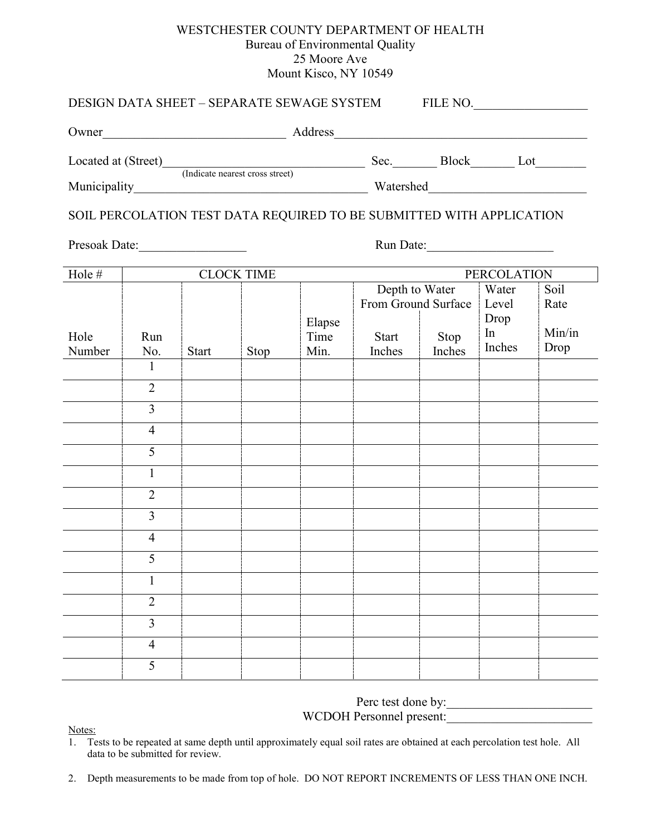## WESTCHESTER COUNTY DEPARTMENT OF HEALTH Bureau of Environmental Quality 25 Moore Ave Mount Kisco, NY 10549

| DESIGN DATA SHEET – SEPARATE SEWAGE SYSTEM FILE NO.                                                                             |                |              |                   |                        |                     |                |                      |                |  |  |
|---------------------------------------------------------------------------------------------------------------------------------|----------------|--------------|-------------------|------------------------|---------------------|----------------|----------------------|----------------|--|--|
| Owner<br><u> 1989 - Johann Stoff, deutscher Stoffen und der Stoffen und der Stoffen und der Stoffen und der Stoffen und der</u> |                |              |                   |                        |                     |                |                      |                |  |  |
| Located at (Street) (Indicate nearest cross street)                                                                             |                |              |                   |                        |                     |                |                      |                |  |  |
|                                                                                                                                 |                |              |                   |                        |                     |                |                      |                |  |  |
| SOIL PERCOLATION TEST DATA REQUIRED TO BE SUBMITTED WITH APPLICATION                                                            |                |              |                   |                        |                     |                |                      |                |  |  |
|                                                                                                                                 |                |              |                   |                        |                     |                |                      |                |  |  |
| Hole #                                                                                                                          |                |              | <b>CLOCK TIME</b> |                        | <b>PERCOLATION</b>  |                |                      |                |  |  |
|                                                                                                                                 |                |              |                   |                        | From Ground Surface | Depth to Water | Water<br>Level       | Soil<br>Rate   |  |  |
| Hole<br>Number                                                                                                                  | Run<br>No.     | <b>Start</b> | Stop              | Elapse<br>Time<br>Min. | Start<br>Inches     | Stop<br>Inches | Drop<br>In<br>Inches | Min/in<br>Drop |  |  |
|                                                                                                                                 | $\mathbf{1}$   |              |                   |                        |                     |                |                      |                |  |  |
|                                                                                                                                 | $\overline{2}$ |              |                   |                        |                     |                |                      |                |  |  |
|                                                                                                                                 | $\overline{3}$ |              |                   |                        |                     |                |                      |                |  |  |
|                                                                                                                                 | $\overline{4}$ |              |                   |                        |                     |                |                      |                |  |  |
|                                                                                                                                 | 5              |              |                   |                        |                     |                |                      |                |  |  |
|                                                                                                                                 | $\mathbf{1}$   |              |                   |                        |                     |                |                      |                |  |  |
|                                                                                                                                 | $\overline{2}$ |              |                   |                        |                     |                |                      |                |  |  |
|                                                                                                                                 | $\overline{3}$ |              |                   |                        |                     |                |                      |                |  |  |
|                                                                                                                                 | $\overline{4}$ |              |                   |                        |                     |                |                      |                |  |  |
|                                                                                                                                 | C              |              |                   |                        |                     |                |                      |                |  |  |
|                                                                                                                                 | 1              |              |                   |                        |                     |                |                      |                |  |  |
|                                                                                                                                 | $\overline{2}$ |              |                   |                        |                     |                |                      |                |  |  |
|                                                                                                                                 | 3              |              |                   |                        |                     |                |                      |                |  |  |
|                                                                                                                                 | $\overline{4}$ |              |                   |                        |                     |                |                      |                |  |  |
|                                                                                                                                 | 5              |              |                   |                        |                     |                |                      |                |  |  |

Perc test done by:\_\_\_\_\_\_\_\_\_\_\_\_\_\_\_\_\_\_\_\_\_\_\_

WCDOH Personnel present:

 $\frac{\text{Notes:}}{\text{1}}$ . Te

Tests to be repeated at same depth until approximately equal soil rates are obtained at each percolation test hole. All data to be submitted for review.

2. Depth measurements to be made from top of hole. DO NOT REPORT INCREMENTS OF LESS THAN ONE INCH.